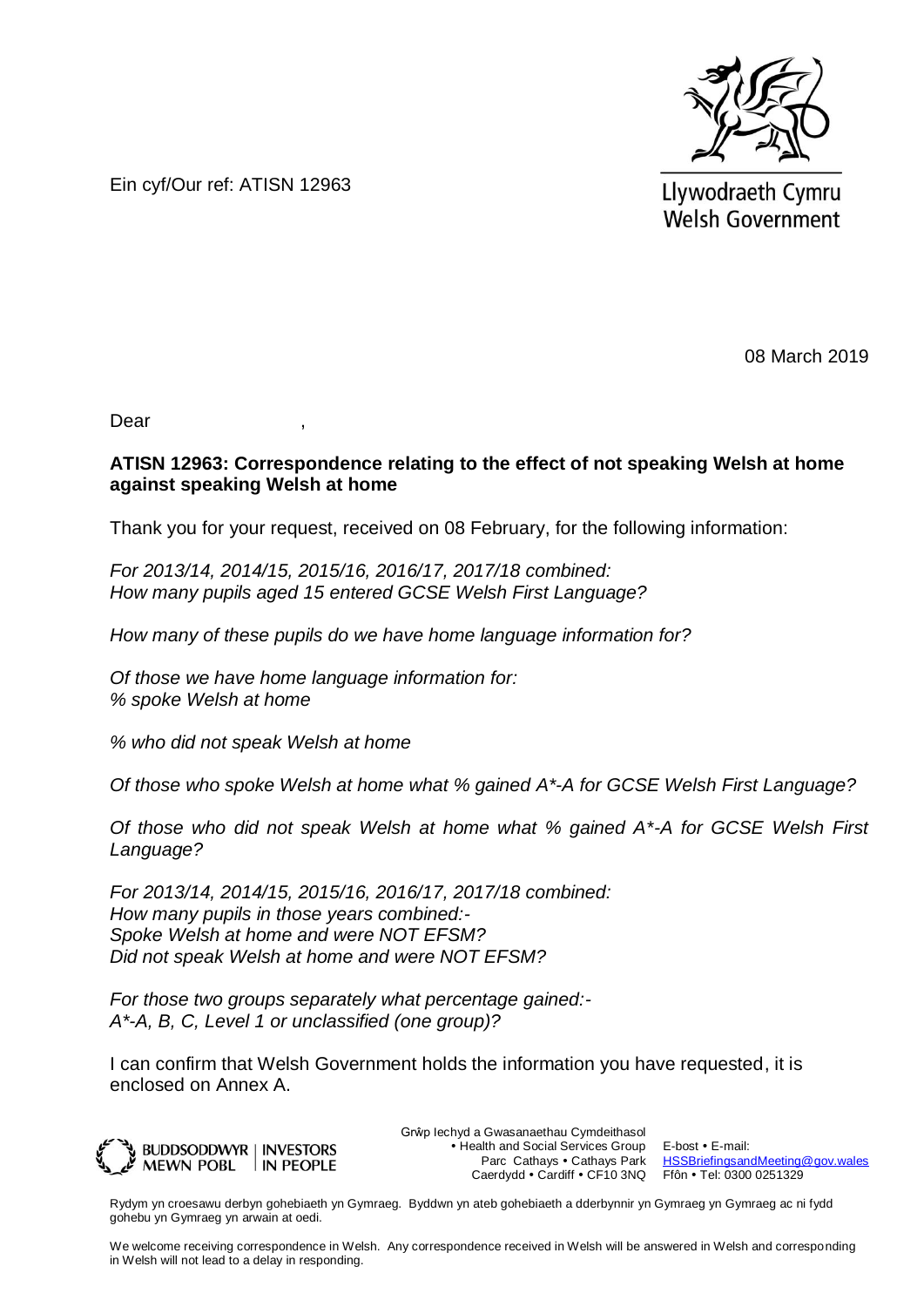

Ein cyf/Our ref: ATISN 12963

Llywodraeth Cymru **Welsh Government** 

08 March 2019

Dear ,

### **ATISN 12963: Correspondence relating to the effect of not speaking Welsh at home against speaking Welsh at home**

Thank you for your request, received on 08 February, for the following information:

*For 2013/14, 2014/15, 2015/16, 2016/17, 2017/18 combined: How many pupils aged 15 entered GCSE Welsh First Language?*

*How many of these pupils do we have home language information for?*

*Of those we have home language information for: % spoke Welsh at home*

*% who did not speak Welsh at home*

*Of those who spoke Welsh at home what % gained A\*-A for GCSE Welsh First Language?*

*Of those who did not speak Welsh at home what % gained A\*-A for GCSE Welsh First Language?*

*For 2013/14, 2014/15, 2015/16, 2016/17, 2017/18 combined: How many pupils in those years combined:- Spoke Welsh at home and were NOT EFSM? Did not speak Welsh at home and were NOT EFSM?*

*For those two groups separately what percentage gained:- A\*-A, B, C, Level 1 or unclassified (one group)?*

I can confirm that Welsh Government holds the information you have requested, it is enclosed on Annex A.



Grŵp Iechyd a Gwasanaethau Cymdeithasol • Health and Social Services Group Parc Cathays • Cathays Park Caerdydd • Cardiff • CF10 3NQ

E-bost • E-mail: [HSSBriefingsandMeeting@gov.wales](mailto:HSSBriefingsandMeeting@gov.wales) Ffôn • Tel: 0300 0251329

Rydym yn croesawu derbyn gohebiaeth yn Gymraeg. Byddwn yn ateb gohebiaeth a dderbynnir yn Gymraeg yn Gymraeg ac ni fydd gohebu yn Gymraeg yn arwain at oedi.

We welcome receiving correspondence in Welsh. Any correspondence received in Welsh will be answered in Welsh and corresponding in Welsh will not lead to a delay in responding.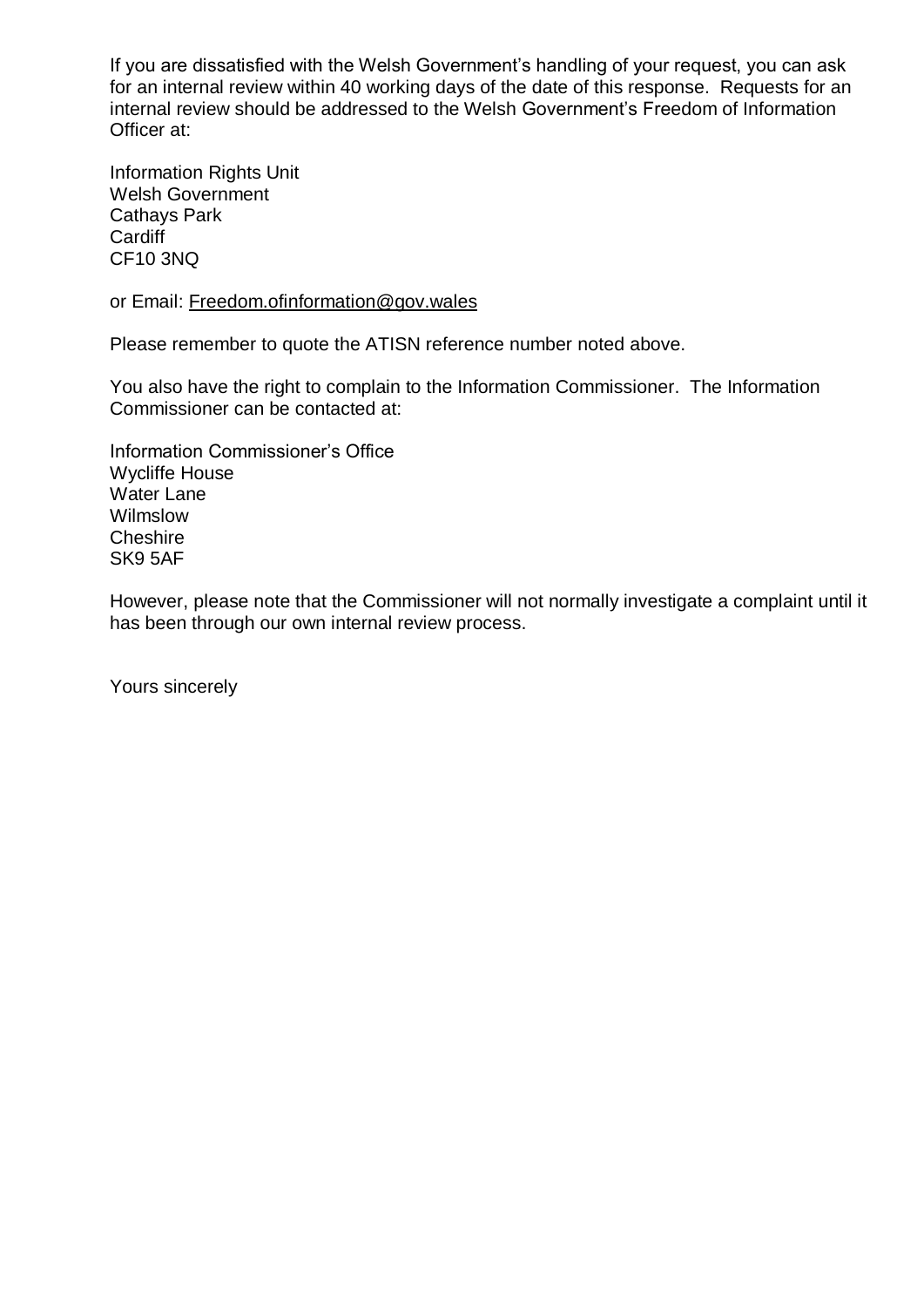If you are dissatisfied with the Welsh Government's handling of your request, you can ask for an internal review within 40 working days of the date of this response. Requests for an internal review should be addressed to the Welsh Government's Freedom of Information Officer at:

Information Rights Unit Welsh Government Cathays Park **Cardiff** CF10 3NQ

or Email: [Freedom.ofinformation@gov.wales](mailto:Freedom.ofinformation@gov.wales)

Please remember to quote the ATISN reference number noted above.

You also have the right to complain to the Information Commissioner. The Information Commissioner can be contacted at:

Information Commissioner's Office Wycliffe House Water Lane Wilmslow Cheshire SK9 5AF

However, please note that the Commissioner will not normally investigate a complaint until it has been through our own internal review process.

Yours sincerely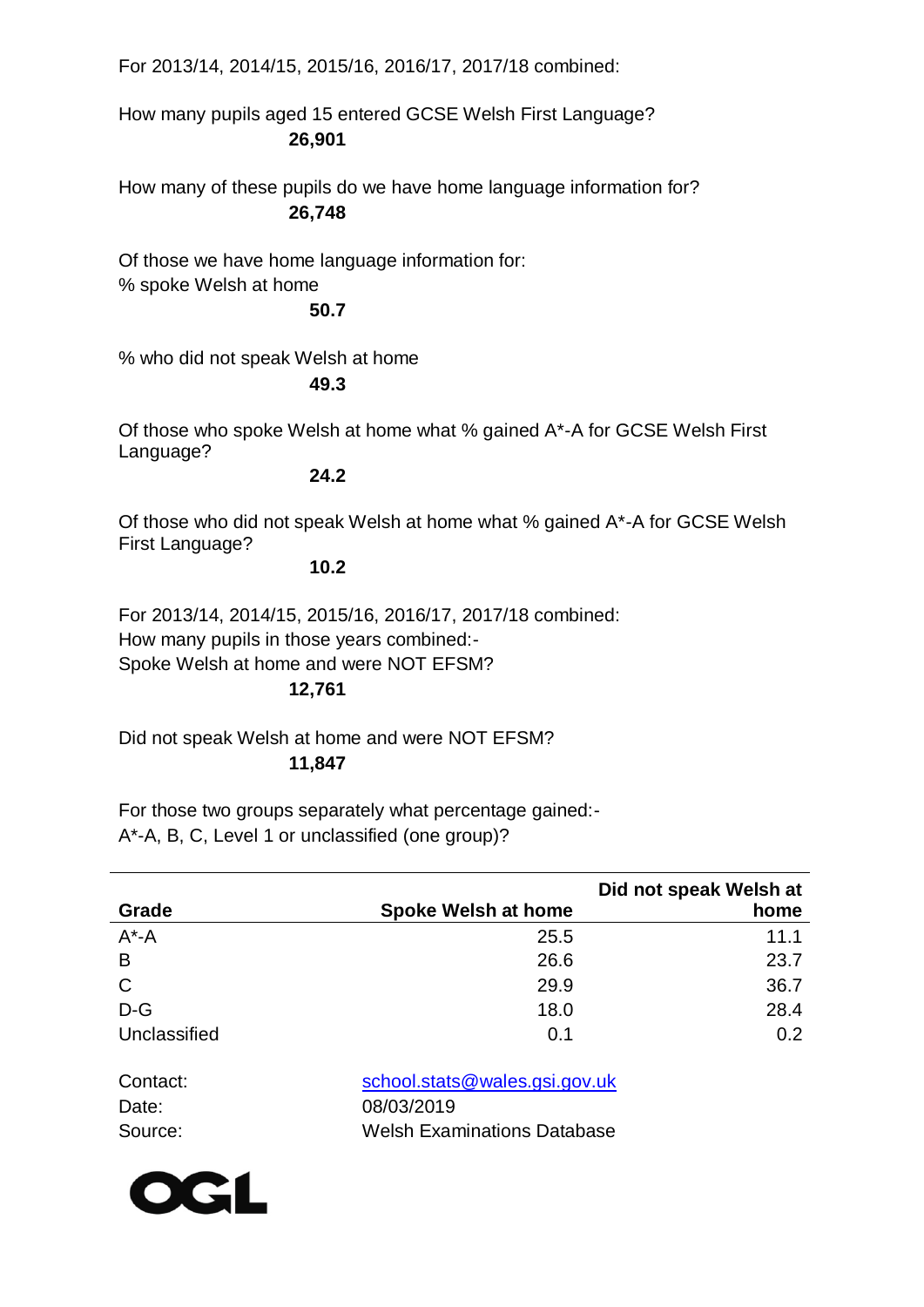For 2013/14, 2014/15, 2015/16, 2016/17, 2017/18 combined:

How many pupils aged 15 entered GCSE Welsh First Language? **26,901**

How many of these pupils do we have home language information for? **26,748**

Of those we have home language information for: % spoke Welsh at home

# **50.7**

% who did not speak Welsh at home

# **49.3**

Of those who spoke Welsh at home what % gained A\*-A for GCSE Welsh First Language?

#### **24.2**

Of those who did not speak Welsh at home what % gained A\*-A for GCSE Welsh First Language?

# **10.2**

For 2013/14, 2014/15, 2015/16, 2016/17, 2017/18 combined: How many pupils in those years combined:- Spoke Welsh at home and were NOT EFSM?

# **12,761**

Did not speak Welsh at home and were NOT EFSM? **11,847**

For those two groups separately what percentage gained:- A\*-A, B, C, Level 1 or unclassified (one group)?

|              |                            | Did not speak Welsh at |
|--------------|----------------------------|------------------------|
| Grade        | <b>Spoke Welsh at home</b> | home                   |
| $A^*$ -A     | 25.5                       | 11.1                   |
| B            | 26.6                       | 23.7                   |
| C            | 29.9                       | 36.7                   |
| $D-G$        | 18.0                       | 28.4                   |
| Unclassified | 0.1                        | 0.2                    |

| Contact: | school.stats@wales.gsi.gov.uk      |
|----------|------------------------------------|
| Date:    | 08/03/2019                         |
| Source:  | <b>Welsh Examinations Database</b> |